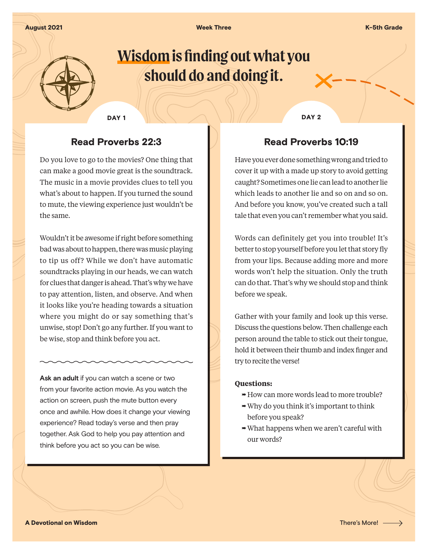August 2021 November 2008 Neek Three K-5th Grade K-5th Grade K-5th Grade K-5th Grade K-5th Grade K-5th Grade K

# **Wisdom is finding out what you should do and doing it.**

### Read Proverbs 22:3

Do you love to go to the movies? One thing that can make a good movie great is the soundtrack. The music in a movie provides clues to tell you what's about to happen. If you turned the sound to mute, the viewing experience just wouldn't be the same.

Wouldn't it be awesome if right before something bad was about to happen, there was music playing to tip us off? While we don't have automatic soundtracks playing in our heads, we can watch for clues that danger is ahead. That's why we have to pay attention, listen, and observe. And when it looks like you're heading towards a situation where you might do or say something that's unwise, stop! Don't go any further. If you want to be wise, stop and think before you act.

**Ask an adult** if you can watch a scene or two from your favorite action movie. As you watch the action on screen, push the mute button every once and awhile. How does it change your viewing experience? Read today's verse and then pray together. Ask God to help you pay attention and think before you act so you can be wise.

DAY 1 DAY 2

## Read Proverbs 10:19

Have you ever done something wrong and tried to cover it up with a made up story to avoid getting caught? Sometimes one lie can lead to another lie which leads to another lie and so on and so on. And before you know, you've created such a tall tale that even you can't remember what you said.

Words can definitely get you into trouble! It's better to stop yourself before you let that story fly from your lips. Because adding more and more words won't help the situation. Only the truth can do that. That's why we should stop and think before we speak.

Gather with your family and look up this verse. Discuss the questions below. Then challenge each person around the table to stick out their tongue, hold it between their thumb and index finger and try to recite the verse!

#### **Questions:**

- $\rightarrow$  How can more words lead to more trouble?
- $\rightarrow$  Why do you think it's important to think before you speak?
- $\rightarrow$  What happens when we aren't careful with our words?